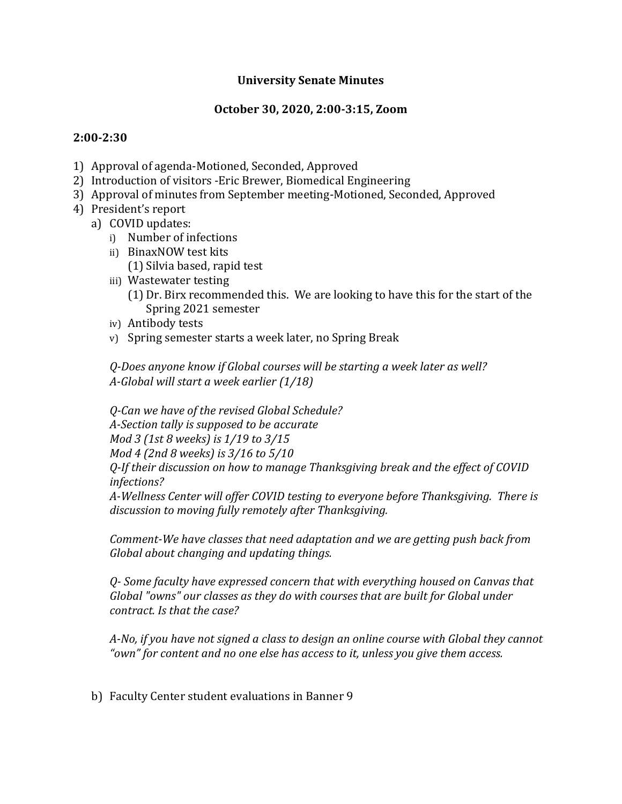## **University Senate Minutes**

## **October 30, 2020, 2:00-3:15, Zoom**

## **2:00-2:30**

- 1) Approval of agenda-Motioned, Seconded, Approved
- 2) Introduction of visitors -Eric Brewer, Biomedical Engineering
- 3) Approval of minutes from September meeting-Motioned, Seconded, Approved
- 4) President's report
	- a) COVID updates:
		- i) Number of infections
		- ii) BinaxNOW test kits
			- (1) Silvia based, rapid test
		- iii) Wastewater testing
			- (1) Dr. Birx recommended this. We are looking to have this for the start of the Spring 2021 semester
		- iv) Antibody tests
		- v) Spring semester starts a week later, no Spring Break

*Q-Does anyone know if Global courses will be starting a week later as well? A-Global will start a week earlier (1/18)*

*Q-Can we have of the revised Global Schedule?*

*A-Section tally is supposed to be accurate*

*Mod 3 (1st 8 weeks) is 1/19 to 3/15*

*Mod 4 (2nd 8 weeks) is 3/16 to 5/10*

*Q-If their discussion on how to manage Thanksgiving break and the effect of COVID infections?*

*A-Wellness Center will offer COVID testing to everyone before Thanksgiving. There is discussion to moving fully remotely after Thanksgiving.*

*Comment-We have classes that need adaptation and we are getting push back from Global about changing and updating things.* 

*Q- Some faculty have expressed concern that with everything housed on Canvas that Global "owns" our classes as they do with courses that are built for Global under contract. Is that the case?*

*A-No, if you have not signed a class to design an online course with Global they cannot "own" for content and no one else has access to it, unless you give them access.*

b) Faculty Center student evaluations in Banner 9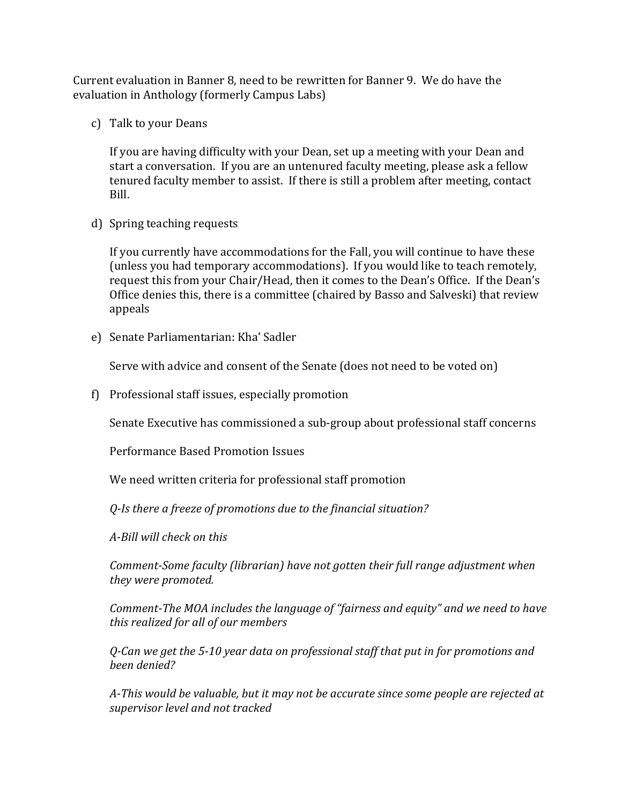Current evaluation in Banner 8, need to be rewritten for Banner 9. We do have the evaluation in Anthology (formerly Campus Labs)

c) Talk to your Deans

If you are having difficulty with your Dean, set up a meeting with your Dean and start a conversation. If you are an untenured faculty meeting, please ask a fellow tenured faculty member to assist. If there is still a problem after meeting, contact Bill.

d) Spring teaching requests

If you currently have accommodations for the Fall, you will continue to have these (unless you had temporary accommodations). If you would like to teach remotely, request this from your Chair/Head, then it comes to the Dean's Office. If the Dean's Office denies this, there is a committee (chaired by Basso and Salveski) that review appeals

e) Senate Parliamentarian: Kha' Sadler

Serve with advice and consent of the Senate (does not need to be voted on)

f) Professional staff issues, especially promotion

Senate Executive has commissioned a sub-group about professional staff concerns

Performance Based Promotion Issues

We need written criteria for professional staff promotion

*Q-Is there a freeze of promotions due to the financial situation?*

*A-Bill will check on this*

*Comment-Some faculty (librarian) have not gotten their full range adjustment when they were promoted.* 

*Comment-The MOA includes the language of "fairness and equity" and we need to have this realized for all of our members*

*Q-Can we get the 5-10 year data on professional staff that put in for promotions and been denied?*

*A-This would be valuable, but it may not be accurate since some people are rejected at supervisor level and not tracked*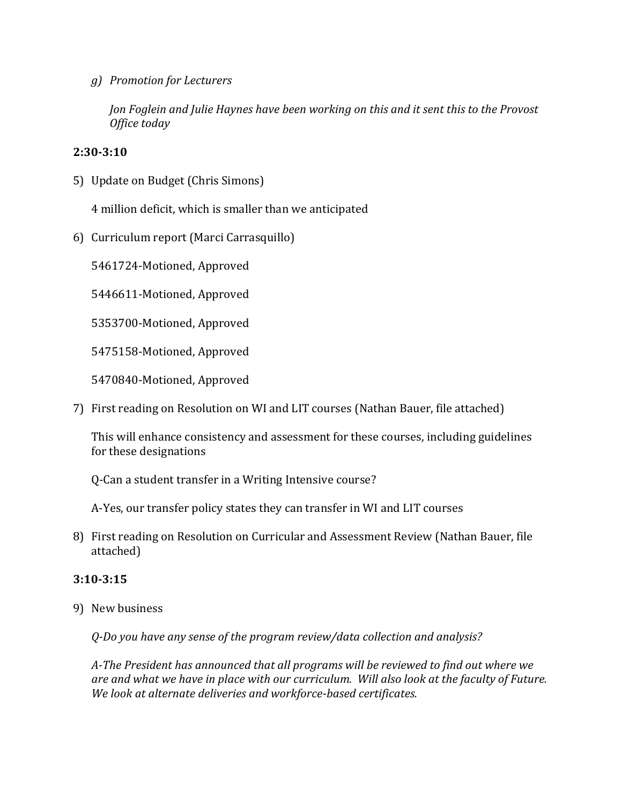*g) Promotion for Lecturers*

*Jon Foglein and Julie Haynes have been working on this and it sent this to the Provost Office today*

## **2:30-3:10**

5) Update on Budget (Chris Simons)

4 million deficit, which is smaller than we anticipated

6) Curriculum report (Marci Carrasquillo)

5461724-Motioned, Approved

5446611-Motioned, Approved

5353700-Motioned, Approved

5475158-Motioned, Approved

5470840-Motioned, Approved

7) First reading on Resolution on WI and LIT courses (Nathan Bauer, file attached)

This will enhance consistency and assessment for these courses, including guidelines for these designations

Q-Can a student transfer in a Writing Intensive course?

A-Yes, our transfer policy states they can transfer in WI and LIT courses

8) First reading on Resolution on Curricular and Assessment Review (Nathan Bauer, file attached)

# **3:10-3:15**

9) New business

*Q-Do you have any sense of the program review/data collection and analysis?*

*A-The President has announced that all programs will be reviewed to find out where we are and what we have in place with our curriculum. Will also look at the faculty of Future. We look at alternate deliveries and workforce-based certificates.*